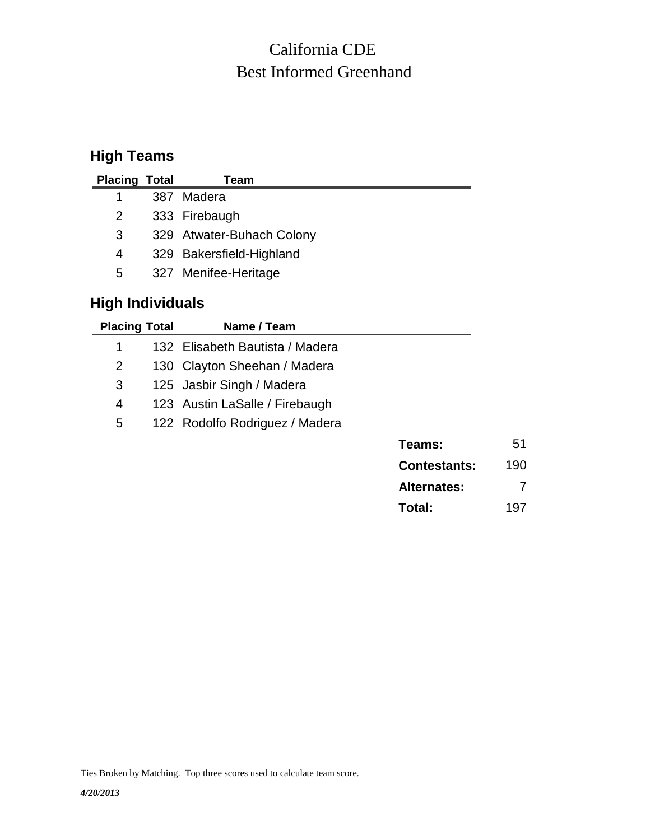# Best Informed Greenhand California CDE

## **High Teams**

| <b>Placing Total</b> | Team                      |
|----------------------|---------------------------|
|                      | 387 Madera                |
| 2                    | 333 Firebaugh             |
| 3                    | 329 Atwater-Buhach Colony |
| 4                    | 329 Bakersfield-Highland  |
| 5                    | 327 Menifee-Heritage      |

## **High Individuals**

|     |                     | Name / Team                     | <b>Placing Total</b> |
|-----|---------------------|---------------------------------|----------------------|
|     |                     | 132 Elisabeth Bautista / Madera | 1                    |
|     |                     | 130 Clayton Sheehan / Madera    | $\overline{2}$       |
|     |                     | 125 Jasbir Singh / Madera       | 3                    |
|     |                     | 123 Austin LaSalle / Firebaugh  | 4                    |
|     |                     | 122 Rodolfo Rodriguez / Madera  | 5                    |
| 51  | Teams:              |                                 |                      |
| 190 | <b>Contestants:</b> |                                 |                      |
| 7   | <b>Alternates:</b>  |                                 |                      |
| 197 | Total:              |                                 |                      |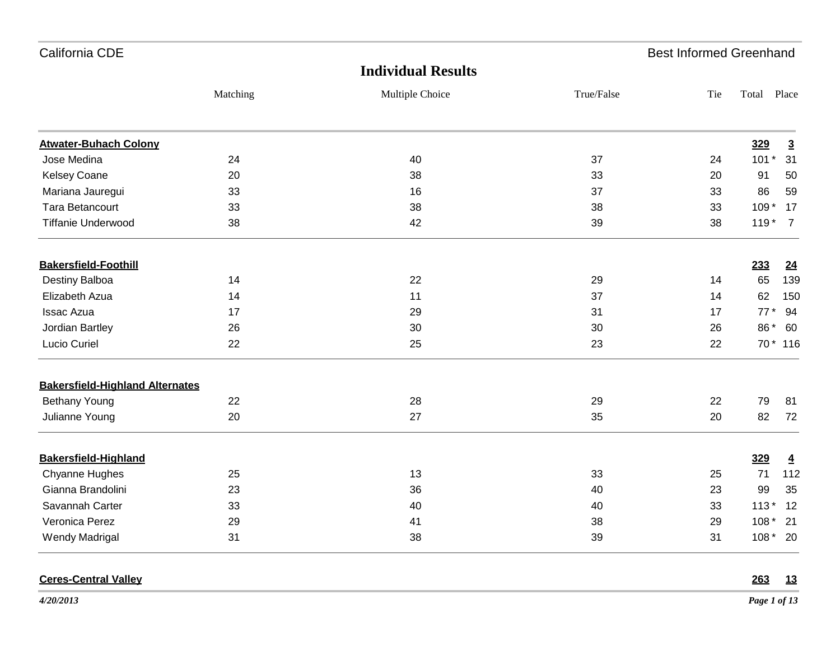| California CDE                         |          |                           |            | <b>Best Informed Greenhand</b> |             |                |
|----------------------------------------|----------|---------------------------|------------|--------------------------------|-------------|----------------|
|                                        |          | <b>Individual Results</b> |            |                                |             |                |
|                                        | Matching | Multiple Choice           | True/False | Tie                            | Total Place |                |
| <b>Atwater-Buhach Colony</b>           |          |                           |            |                                | 329         | $\overline{3}$ |
| Jose Medina                            | 24       | 40                        | 37         | 24                             | $101*$      | 31             |
| <b>Kelsey Coane</b>                    | 20       | 38                        | 33         | 20                             | 91          | 50             |
| Mariana Jauregui                       | 33       | 16                        | 37         | 33                             | 86          | 59             |
| <b>Tara Betancourt</b>                 | 33       | 38                        | 38         | 33                             | $109*$      | 17             |
| <b>Tiffanie Underwood</b>              | 38       | 42                        | 39         | 38                             | $119*$      | $\overline{7}$ |
| <b>Bakersfield-Foothill</b>            |          |                           |            |                                | 233         | <u>24</u>      |
| Destiny Balboa                         | 14       | 22                        | 29         | 14                             | 65          | 139            |
| Elizabeth Azua                         | 14       | 11                        | 37         | 14                             | 62          | 150            |
| <b>Issac Azua</b>                      | 17       | 29                        | 31         | 17                             | $77*$       | 94             |
| Jordian Bartley                        | 26       | 30                        | 30         | 26                             | 86 *        | 60             |
| Lucio Curiel                           | 22       | 25                        | 23         | 22                             |             | 70 * 116       |
| <b>Bakersfield-Highland Alternates</b> |          |                           |            |                                |             |                |
| <b>Bethany Young</b>                   | 22       | 28                        | 29         | 22                             | 79          | 81             |
| Julianne Young                         | 20       | 27                        | 35         | 20                             | 82          | 72             |
| <b>Bakersfield-Highland</b>            |          |                           |            |                                | 329         | $\overline{4}$ |
| Chyanne Hughes                         | 25       | 13                        | 33         | 25                             | 71          | 112            |
| Gianna Brandolini                      | 23       | 36                        | 40         | 23                             | 99          | 35             |
| Savannah Carter                        | 33       | 40                        | 40         | 33                             | $113*$      | 12             |
| Veronica Perez                         | 29       | 41                        | 38         | 29                             | $108*$      | 21             |
| <b>Wendy Madrigal</b>                  | 31       | 38                        | 39         | 31                             | $108*20$    |                |

### **Ceres-Central Valley 263 13**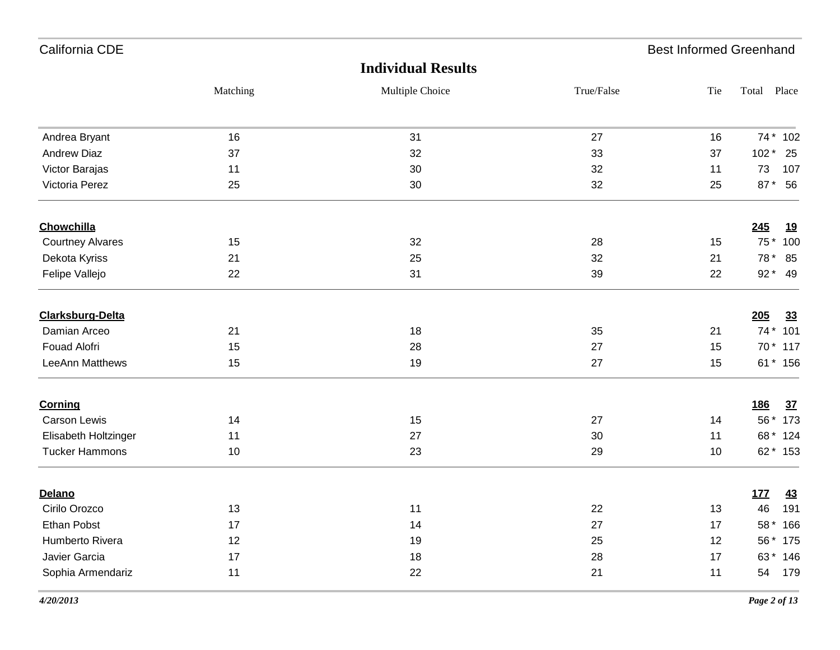| California CDE          |          |                           |            | <b>Best Informed Greenhand</b> |             |            |
|-------------------------|----------|---------------------------|------------|--------------------------------|-------------|------------|
|                         |          | <b>Individual Results</b> |            |                                |             |            |
|                         | Matching | Multiple Choice           | True/False | Tie                            | Total Place |            |
| Andrea Bryant           | 16       | 31                        | 27         | 16                             |             | 74 * 102   |
| <b>Andrew Diaz</b>      | 37       | 32                        | 33         | 37                             | $102*$      | 25         |
| Victor Barajas          | 11       | 30                        | 32         | 11                             | 73          | 107        |
| Victoria Perez          | 25       | 30                        | 32         | 25                             | $87*$       | 56         |
| Chowchilla              |          |                           |            |                                | 245         | <u> 19</u> |
| <b>Courtney Alvares</b> | 15       | 32                        | 28         | 15                             | $75*$       | 100        |
| Dekota Kyriss           | 21       | 25                        | 32         | 21                             | 78 *        | 85         |
| Felipe Vallejo          | 22       | 31                        | 39         | 22                             | $92*$       | - 49       |
| Clarksburg-Delta        |          |                           |            |                                | 205         | 33         |
| Damian Arceo            | 21       | 18                        | 35         | 21                             |             | 74 * 101   |
| Fouad Alofri            | 15       | 28                        | 27         | 15                             |             | 70 * 117   |
| LeeAnn Matthews         | 15       | 19                        | 27         | 15                             |             | 61 * 156   |
| <b>Corning</b>          |          |                           |            |                                | <u>186</u>  | <u>37</u>  |
| <b>Carson Lewis</b>     | 14       | 15                        | 27         | 14                             |             | 56 * 173   |
| Elisabeth Holtzinger    | 11       | 27                        | 30         | 11                             |             | 68 * 124   |
| <b>Tucker Hammons</b>   | 10       | 23                        | 29         | 10                             |             | 62 * 153   |
| Delano                  |          |                           |            |                                | <u>177</u>  | <u>43</u>  |
| Cirilo Orozco           | 13       | 11                        | 22         | 13                             | 46          | 191        |
| Ethan Pobst             | 17       | 14                        | 27         | 17                             |             | 58 * 166   |
| Humberto Rivera         | 12       | 19                        | 25         | 12                             |             | 56 * 175   |
| Javier Garcia           | 17       | 18                        | 28         | 17                             |             | 63 * 146   |
| Sophia Armendariz       | 11       | 22                        | 21         | 11                             |             | 54 179     |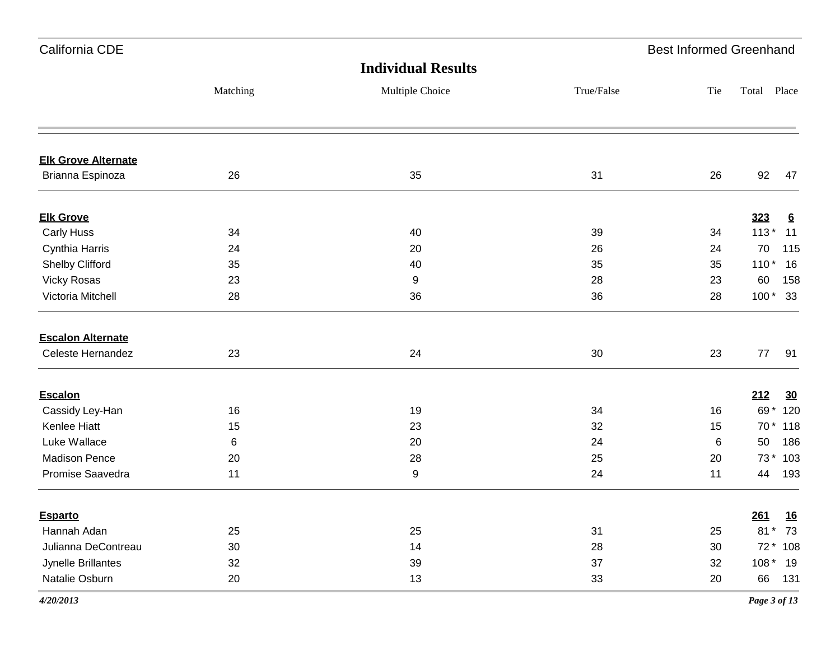| California CDE             |          |                           |            | <b>Best Informed Greenhand</b> |        |                 |
|----------------------------|----------|---------------------------|------------|--------------------------------|--------|-----------------|
|                            |          | <b>Individual Results</b> |            |                                |        |                 |
|                            | Matching | Multiple Choice           | True/False | Tie                            | Total  | Place           |
| <b>Elk Grove Alternate</b> |          |                           |            |                                |        |                 |
| Brianna Espinoza           | 26       | 35                        | 31         | 26                             | 92     | 47              |
| <b>Elk Grove</b>           |          |                           |            |                                | 323    | $6\overline{6}$ |
| <b>Carly Huss</b>          | 34       | 40                        | 39         | 34                             | $113*$ | 11              |
| Cynthia Harris             | 24       | 20                        | 26         | 24                             | 70     | 115             |
| Shelby Clifford            | 35       | 40                        | 35         | 35                             | $110*$ | 16              |
| <b>Vicky Rosas</b>         | 23       | 9                         | 28         | 23                             | 60     | 158             |
| Victoria Mitchell          | 28       | 36                        | 36         | 28                             |        | $100*33$        |
| <b>Escalon Alternate</b>   |          |                           |            |                                |        |                 |
| Celeste Hernandez          | 23       | 24                        | 30         | 23                             | 77     | 91              |
| <b>Escalon</b>             |          |                           |            |                                | 212    | 30              |
| Cassidy Ley-Han            | 16       | 19                        | 34         | 16                             |        | 69 * 120        |
| Kenlee Hiatt               | 15       | 23                        | 32         | 15                             |        | 70 * 118        |
| Luke Wallace               | 6        | 20                        | 24         | 6                              | 50     | 186             |
| <b>Madison Pence</b>       | 20       | 28                        | 25         | 20                             |        | 73 * 103        |
| Promise Saavedra           | 11       | 9                         | 24         | 11                             | 44     | 193             |
| <b>Esparto</b>             |          |                           |            |                                | 261    | <u>16</u>       |
| Hannah Adan                | 25       | 25                        | 31         | 25                             | 81     | 73<br>$\star$   |
| Julianna DeContreau        | 30       | 14                        | 28         | 30                             |        | 72 * 108        |
| Jynelle Brillantes         | 32       | 39                        | 37         | 32                             |        | $108*19$        |
| Natalie Osburn             | 20       | 13                        | 33         | 20                             | 66     | 131             |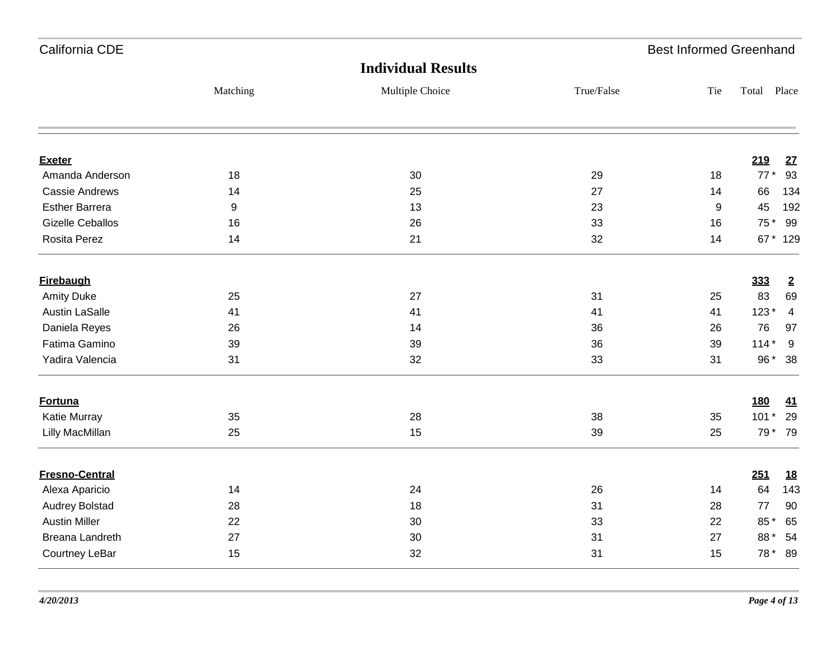| California CDE          |                  |                           |            | <b>Best Informed Greenhand</b> |             |                         |
|-------------------------|------------------|---------------------------|------------|--------------------------------|-------------|-------------------------|
|                         |                  | <b>Individual Results</b> |            |                                |             |                         |
|                         | Matching         | Multiple Choice           | True/False | Tie                            | Total Place |                         |
| <b>Exeter</b>           |                  |                           |            |                                | 219         | 27                      |
| Amanda Anderson         | 18               | 30                        | 29         | 18                             | $77*$       | 93                      |
| <b>Cassie Andrews</b>   | 14               | 25                        | 27         | 14                             | 66          | 134                     |
| <b>Esther Barrera</b>   | $\boldsymbol{9}$ | 13                        | 23         | 9                              | 45          | 192                     |
| <b>Gizelle Ceballos</b> | 16               | 26                        | 33         | 16                             | 75 *        | 99                      |
| Rosita Perez            | 14               | 21                        | 32         | 14                             |             | 67 * 129                |
| <b>Firebaugh</b>        |                  |                           |            |                                | 333         | $\overline{2}$          |
| <b>Amity Duke</b>       | 25               | 27                        | 31         | 25                             | 83          | 69                      |
| <b>Austin LaSalle</b>   | 41               | 41                        | 41         | 41                             | $123*$      | $\overline{\mathbf{4}}$ |
| Daniela Reyes           | 26               | 14                        | 36         | 26                             | 76          | 97                      |
| Fatima Gamino           | 39               | 39                        | 36         | 39                             | $114*$      | 9                       |
| Yadira Valencia         | 31               | 32                        | 33         | 31                             | 96 *        | 38                      |
| <b>Fortuna</b>          |                  |                           |            |                                | <b>180</b>  | 41                      |
| Katie Murray            | 35               | 28                        | 38         | 35                             | $101*$      | 29                      |
| Lilly MacMillan         | 25               | 15                        | 39         | 25                             |             | 79 * 79                 |
| <b>Fresno-Central</b>   |                  |                           |            |                                | 251         | <u>18</u>               |
| Alexa Aparicio          | 14               | 24                        | 26         | 14                             | 64          | 143                     |
| <b>Audrey Bolstad</b>   | 28               | 18                        | 31         | 28                             | $77$        | 90                      |
| <b>Austin Miller</b>    | 22               | 30                        | 33         | 22                             | 85*         | 65                      |
| <b>Breana Landreth</b>  | 27               | 30                        | 31         | 27                             | 88*         | 54                      |
| Courtney LeBar          | 15               | 32                        | 31         | 15                             | 78 *        | 89                      |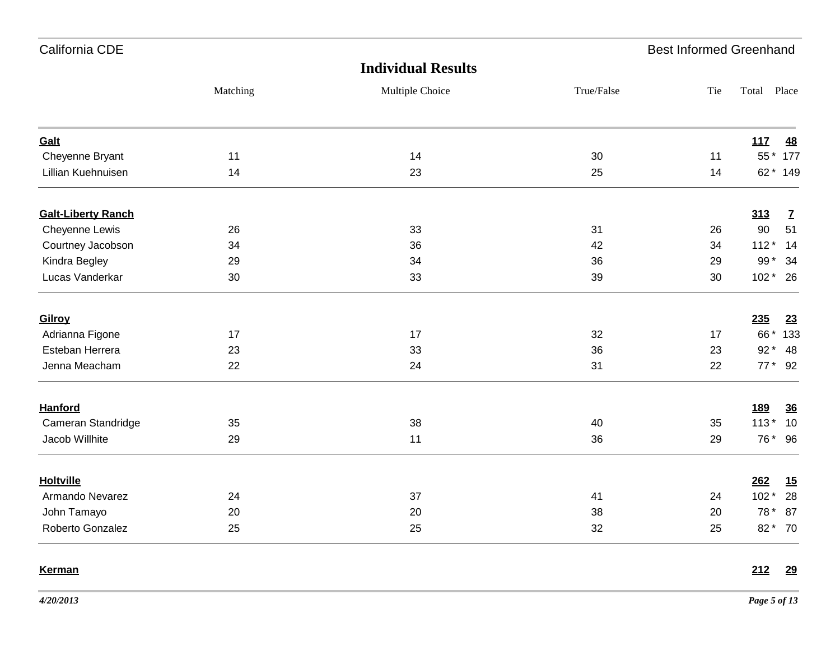| California CDE            |          |                           |            | <b>Best Informed Greenhand</b> |                 |              |
|---------------------------|----------|---------------------------|------------|--------------------------------|-----------------|--------------|
|                           |          | <b>Individual Results</b> |            |                                |                 |              |
|                           | Matching | Multiple Choice           | True/False | Tie                            | Total Place     |              |
| Galt                      |          |                           |            |                                | 11 <sub>Z</sub> | <u>48</u>    |
| Cheyenne Bryant           | 11       | 14                        | 30         | 11                             |                 | 55 * 177     |
| Lillian Kuehnuisen        | 14       | 23                        | 25         | 14                             |                 | 62 * 149     |
| <b>Galt-Liberty Ranch</b> |          |                           |            |                                | 313             | $\mathbf{Z}$ |
| Cheyenne Lewis            | 26       | 33                        | 31         | 26                             | 90              | 51           |
| Courtney Jacobson         | 34       | 36                        | 42         | 34                             | $112*$          | 14           |
| Kindra Begley             | 29       | 34                        | 36         | 29                             | 99 $*$          | 34           |
| Lucas Vanderkar           | 30       | 33                        | 39         | 30                             | 102 * 26        |              |
| Gilroy                    |          |                           |            |                                | 235             | 23           |
| Adrianna Figone           | 17       | 17                        | 32         | 17                             |                 | 66 * 133     |
| Esteban Herrera           | 23       | 33                        | 36         | 23                             |                 | 92 * 48      |
| Jenna Meacham             | 22       | 24                        | 31         | 22                             |                 | 77 * 92      |
| <b>Hanford</b>            |          |                           |            |                                | <u>189</u>      | 36           |
| Cameran Standridge        | 35       | 38                        | 40         | 35                             | $113*$          | 10           |
| Jacob Willhite            | 29       | 11                        | 36         | 29                             |                 | 76* 96       |
| <b>Holtville</b>          |          |                           |            |                                | 262             | 15           |
| Armando Nevarez           | 24       | 37                        | 41         | 24                             | $102*$          | 28           |
| John Tamayo               | 20       | 20                        | 38         | 20                             | 78 *            | 87           |
| Roberto Gonzalez          | 25       | 25                        | 32         | 25                             |                 | 82 * 70      |
| <b>Kerman</b>             |          |                           |            |                                | 212             | <u>29</u>    |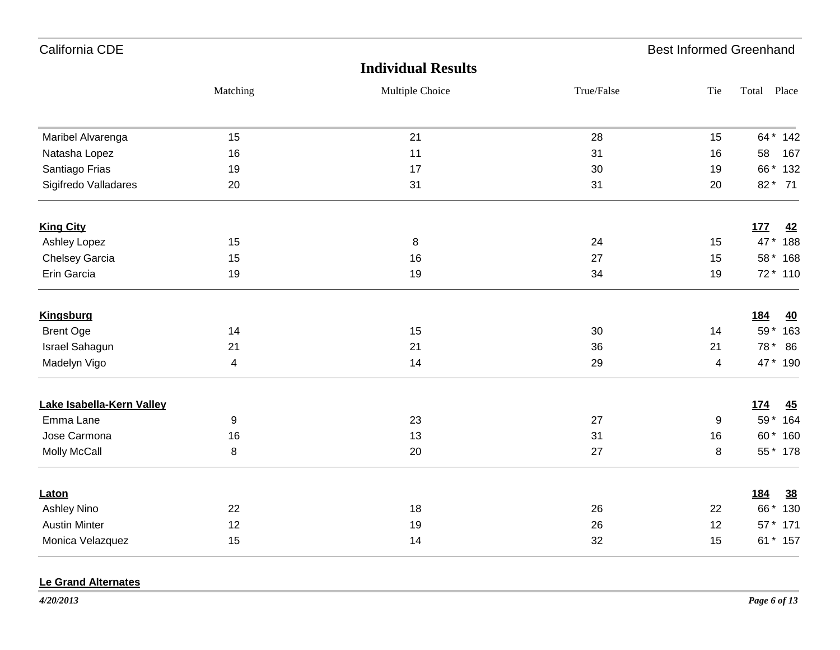| California CDE            |                         |                           |            | <b>Best Informed Greenhand</b> |                         |
|---------------------------|-------------------------|---------------------------|------------|--------------------------------|-------------------------|
|                           |                         | <b>Individual Results</b> |            |                                |                         |
|                           | Matching                | Multiple Choice           | True/False | Tie                            | Total Place             |
| Maribel Alvarenga         | 15                      | 21                        | 28         | 15                             | 64 * 142                |
| Natasha Lopez             | 16                      | 11                        | 31         | 16                             | 167<br>58               |
| Santiago Frias            | 19                      | 17                        | 30         | 19                             | 66 * 132                |
| Sigifredo Valladares      | 20                      | 31                        | 31         | 20                             | 82 * 71                 |
| <b>King City</b>          |                         |                           |            |                                | 177<br>42               |
| Ashley Lopez              | 15                      | 8                         | 24         | 15                             | 47*<br>188              |
| <b>Chelsey Garcia</b>     | 15                      | 16                        | 27         | 15                             | 58 * 168                |
| Erin Garcia               | 19                      | 19                        | 34         | 19                             | 72 * 110                |
| <b>Kingsburg</b>          |                         |                           |            |                                | <u>184</u><br><u>40</u> |
| <b>Brent Oge</b>          | 14                      | 15                        | 30         | 14                             | 59 * 163                |
| <b>Israel Sahagun</b>     | 21                      | 21                        | 36         | 21                             | 78 * 86                 |
| Madelyn Vigo              | $\overline{\mathbf{4}}$ | 14                        | 29         | $\overline{4}$                 | 47 * 190                |
| Lake Isabella-Kern Valley |                         |                           |            |                                | <u>174</u><br>45        |
| Emma Lane                 | 9                       | 23                        | 27         | 9                              | 59 * 164                |
| Jose Carmona              | 16                      | 13                        | 31         | 16                             | 60 * 160                |
| <b>Molly McCall</b>       | $\bf 8$                 | 20                        | 27         | 8                              | 55 * 178                |
| Laton                     |                         |                           |            |                                | 184<br>38               |
| Ashley Nino               | 22                      | 18                        | 26         | 22                             | 66 * 130                |
| <b>Austin Minter</b>      | 12                      | 19                        | 26         | 12                             | 57 * 171                |
| Monica Velazquez          | 15                      | 14                        | 32         | 15                             | 61 * 157                |

#### **Le Grand Alternates**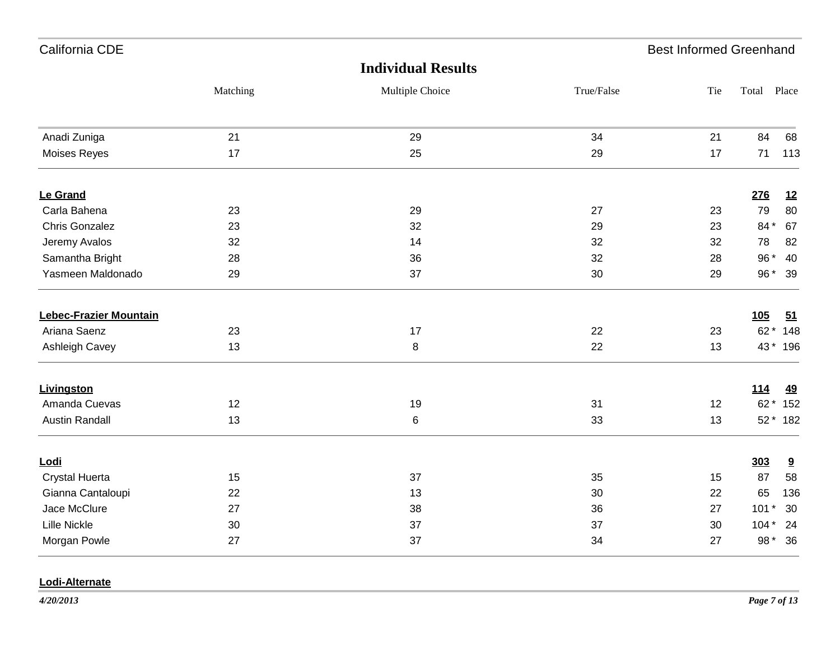| California CDE                |          |                           |            | <b>Best Informed Greenhand</b> |             |           |
|-------------------------------|----------|---------------------------|------------|--------------------------------|-------------|-----------|
|                               |          | <b>Individual Results</b> |            |                                |             |           |
|                               | Matching | Multiple Choice           | True/False | Tie                            | Total Place |           |
| Anadi Zuniga                  | 21       | 29                        | 34         | 21                             | 84          | 68        |
| <b>Moises Reyes</b>           | 17       | 25                        | 29         | 17                             | 71          | 113       |
| Le Grand                      |          |                           |            |                                | 276         | 12        |
| Carla Bahena                  | 23       | 29                        | 27         | 23                             | 79          | 80        |
| <b>Chris Gonzalez</b>         | 23       | 32                        | 29         | 23                             | 84*         | 67        |
| Jeremy Avalos                 | 32       | 14                        | 32         | 32                             | 78          | 82        |
| Samantha Bright               | 28       | 36                        | 32         | 28                             | 96 *        | 40        |
| Yasmeen Maldonado             | 29       | 37                        | 30         | 29                             |             | 96* 39    |
| <b>Lebec-Frazier Mountain</b> |          |                           |            |                                | <b>105</b>  | 51        |
| Ariana Saenz                  | 23       | 17                        | 22         | 23                             |             | 62 * 148  |
| Ashleigh Cavey                | 13       | $\,8\,$                   | 22         | 13                             |             | 43 * 196  |
| <b>Livingston</b>             |          |                           |            |                                | <u>114</u>  | <u>49</u> |
| Amanda Cuevas                 | 12       | 19                        | 31         | 12                             |             | 62 * 152  |
| <b>Austin Randall</b>         | 13       | 6                         | 33         | 13                             |             | 52 * 182  |
| Lodi                          |          |                           |            |                                | 303         | 9         |
| <b>Crystal Huerta</b>         | 15       | 37                        | 35         | 15                             | 87          | 58        |
| Gianna Cantaloupi             | 22       | 13                        | 30         | 22                             | 65          | 136       |
| Jace McClure                  | 27       | 38                        | 36         | 27                             | $101*$      | 30        |
| <b>Lille Nickle</b>           | 30       | 37                        | 37         | 30                             | $104*$      | 24        |
| Morgan Powle                  | 27       | 37                        | 34         | 27                             | 98 *        | 36        |

### **Lodi-Alternate**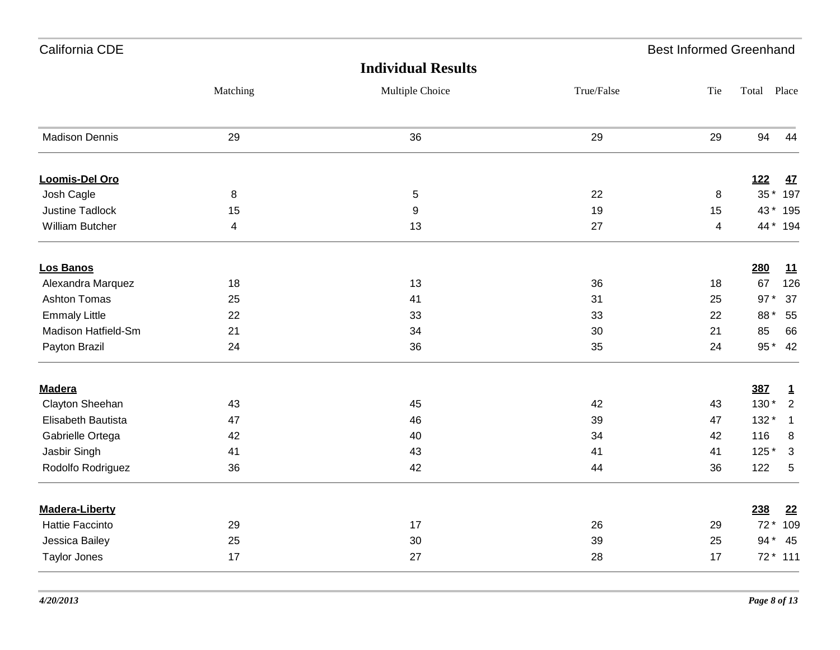| California CDE         |                         |                           |            | <b>Best Informed Greenhand</b> |             |              |
|------------------------|-------------------------|---------------------------|------------|--------------------------------|-------------|--------------|
|                        |                         | <b>Individual Results</b> |            |                                |             |              |
|                        | Matching                | Multiple Choice           | True/False | Tie                            | Total Place |              |
| <b>Madison Dennis</b>  | 29                      | 36                        | 29         | 29                             | 94          | 44           |
| <b>Loomis-Del Oro</b>  |                         |                           |            |                                | <b>122</b>  | <u>47</u>    |
| Josh Cagle             | 8                       | $\sqrt{5}$                | 22         | 8                              | $35*$       | 197          |
| <b>Justine Tadlock</b> | 15                      | $\boldsymbol{9}$          | 19         | 15                             |             | 43 * 195     |
| <b>William Butcher</b> | $\overline{\mathbf{4}}$ | 13                        | 27         | $\overline{\mathbf{4}}$        |             | 44 * 194     |
| <b>Los Banos</b>       |                         |                           |            |                                | 280         | 11           |
| Alexandra Marquez      | 18                      | 13                        | 36         | 18                             | 67          | 126          |
| <b>Ashton Tomas</b>    | 25                      | 41                        | 31         | 25                             | $97*$       | 37           |
| <b>Emmaly Little</b>   | 22                      | 33                        | 33         | 22                             | 88*         | 55           |
| Madison Hatfield-Sm    | 21                      | 34                        | 30         | 21                             | 85          | 66           |
| Payton Brazil          | 24                      | 36                        | 35         | 24                             | 95 *        | 42           |
| <b>Madera</b>          |                         |                           |            |                                | <b>387</b>  | $\mathbf{1}$ |
| Clayton Sheehan        | 43                      | 45                        | 42         | 43                             | 130 *       | $\sqrt{2}$   |
| Elisabeth Bautista     | 47                      | 46                        | 39         | 47                             | $132*$      | $\mathbf{1}$ |
| Gabrielle Ortega       | 42                      | 40                        | 34         | 42                             | 116         | 8            |
| Jasbir Singh           | 41                      | 43                        | 41         | 41                             | 125 *       | 3            |
| Rodolfo Rodriguez      | 36                      | 42                        | 44         | 36                             | 122         | $\,$ 5 $\,$  |
| <b>Madera-Liberty</b>  |                         |                           |            |                                | 238         | 22           |
| <b>Hattie Faccinto</b> | 29                      | 17                        | 26         | 29                             | $72*$       | 109          |
| Jessica Bailey         | 25                      | 30                        | 39         | 25                             | 94 *        | 45           |
| <b>Taylor Jones</b>    | 17                      | 27                        | 28         | 17                             |             | $72 * 111$   |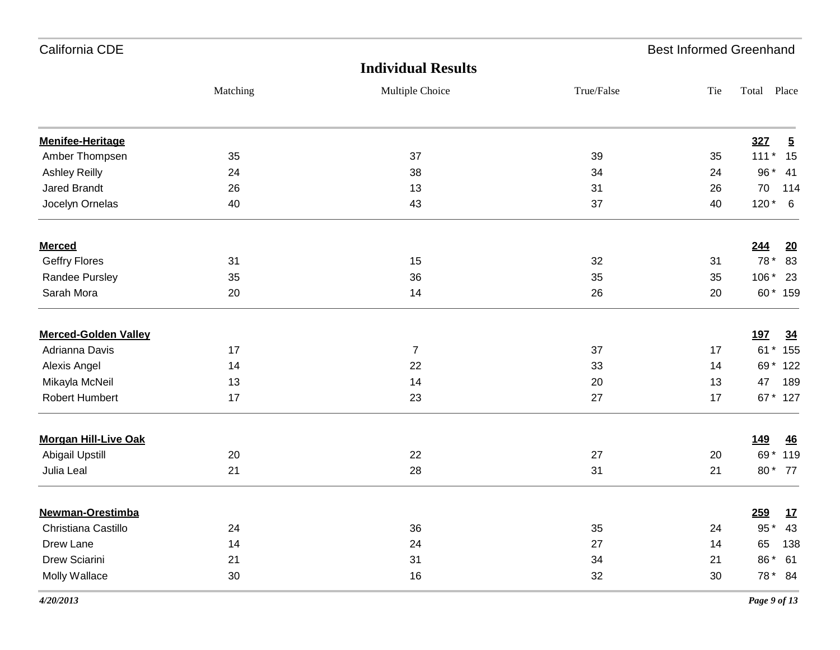| California CDE              |          |                           |            | <b>Best Informed Greenhand</b> |                 |                |
|-----------------------------|----------|---------------------------|------------|--------------------------------|-----------------|----------------|
|                             |          | <b>Individual Results</b> |            |                                |                 |                |
|                             | Matching | Multiple Choice           | True/False | Tie                            | Total Place     |                |
| <b>Menifee-Heritage</b>     |          |                           |            |                                | <b>327</b>      | $\overline{5}$ |
| Amber Thompsen              | 35       | 37                        | 39         | 35                             | $111*$          | 15             |
| Ashley Reilly               | 24       | 38                        | 34         | 24                             | 96 *            | 41             |
| <b>Jared Brandt</b>         | 26       | 13                        | 31         | 26                             | 70              | 114            |
| Jocelyn Ornelas             | 40       | 43                        | 37         | 40                             | $120*$          | 6              |
| <b>Merced</b>               |          |                           |            |                                | 244             | 20             |
| <b>Geffry Flores</b>        | 31       | 15                        | 32         | 31                             | 78 *            | 83             |
| Randee Pursley              | 35       | 36                        | 35         | 35                             | 106 *           | 23             |
| Sarah Mora                  | 20       | 14                        | 26         | 20                             | $60*$           | 159            |
| <b>Merced-Golden Valley</b> |          |                           |            |                                | <u>197</u>      | <u>34</u>      |
| Adrianna Davis              | 17       | $\overline{7}$            | 37         | 17                             | $61*$           | 155            |
| Alexis Angel                | 14       | 22                        | 33         | 14                             |                 | 69 * 122       |
| Mikayla McNeil              | 13       | 14                        | 20         | 13                             | 47              | 189            |
| Robert Humbert              | 17       | 23                        | 27         | 17                             |                 | 67 * 127       |
| <b>Morgan Hill-Live Oak</b> |          |                           |            |                                | <u>149</u>      | 46             |
| <b>Abigail Upstill</b>      | 20       | 22                        | 27         | 20                             | 69*             | 119            |
| Julia Leal                  | 21       | 28                        | 31         | 21                             | 80*             | 77             |
| <b>Newman-Orestimba</b>     |          |                           |            |                                | <u>259</u>      | <u>17</u>      |
| Christiana Castillo         | 24       | 36                        | 35         | 24                             | $95$ $^{\star}$ | 43             |
| Drew Lane                   | 14       | 24                        | 27         | 14                             | 65              | 138            |
| Drew Sciarini               | 21       | 31                        | 34         | 21                             | 86 *            | 61             |
| Molly Wallace               | $30\,$   | 16                        | 32         | $30\,$                         |                 | 78 * 84        |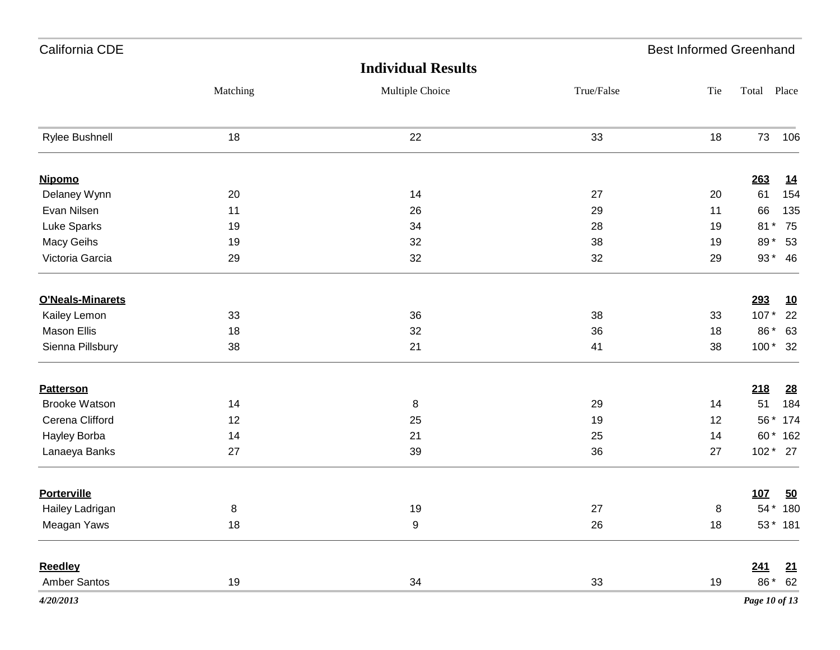| California CDE          |          |                           |            | <b>Best Informed Greenhand</b> |               |           |
|-------------------------|----------|---------------------------|------------|--------------------------------|---------------|-----------|
|                         |          | <b>Individual Results</b> |            |                                |               |           |
|                         | Matching | Multiple Choice           | True/False | Tie                            | Total         | Place     |
| Rylee Bushnell          | 18       | 22                        | 33         | 18                             | 73            | 106       |
| <b>Nipomo</b>           |          |                           |            |                                | 263           | <u>14</u> |
| Delaney Wynn            | 20       | 14                        | 27         | 20                             | 61            | 154       |
| Evan Nilsen             | 11       | 26                        | 29         | 11                             | 66            | 135       |
| Luke Sparks             | 19       | 34                        | 28         | 19                             | $81*$         | 75        |
| Macy Geihs              | 19       | 32                        | 38         | 19                             | 89*           | 53        |
| Victoria Garcia         | 29       | 32                        | 32         | 29                             |               | 93 * 46   |
| <b>O'Neals-Minarets</b> |          |                           |            |                                | 293           | <u>10</u> |
| Kailey Lemon            | 33       | 36                        | 38         | 33                             | $107*$        | 22        |
| Mason Ellis             | 18       | 32                        | 36         | 18                             | 86 *          | 63        |
| Sienna Pillsbury        | 38       | 21                        | 41         | 38                             |               | 100 * 32  |
| <b>Patterson</b>        |          |                           |            |                                | 218           | <u>28</u> |
| <b>Brooke Watson</b>    | 14       | 8                         | 29         | 14                             | 51            | 184       |
| Cerena Clifford         | 12       | 25                        | 19         | 12                             |               | 56 * 174  |
| Hayley Borba            | 14       | 21                        | 25         | 14                             |               | 60 * 162  |
| Lanaeya Banks           | 27       | 39                        | 36         | 27                             |               | 102 * 27  |
| <b>Porterville</b>      |          |                           |            |                                | 107           | 50        |
| Hailey Ladrigan         | 8        | 19                        | 27         | 8                              |               | 54 * 180  |
| Meagan Yaws             | 18       | 9                         | 26         | 18                             |               | 53 * 181  |
| <b>Reedley</b>          |          |                           |            |                                | 241           | <u>21</u> |
| Amber Santos            | 19       | 34                        | 33         | 19                             |               | 86 * 62   |
| 4/20/2013               |          |                           |            |                                | Page 10 of 13 |           |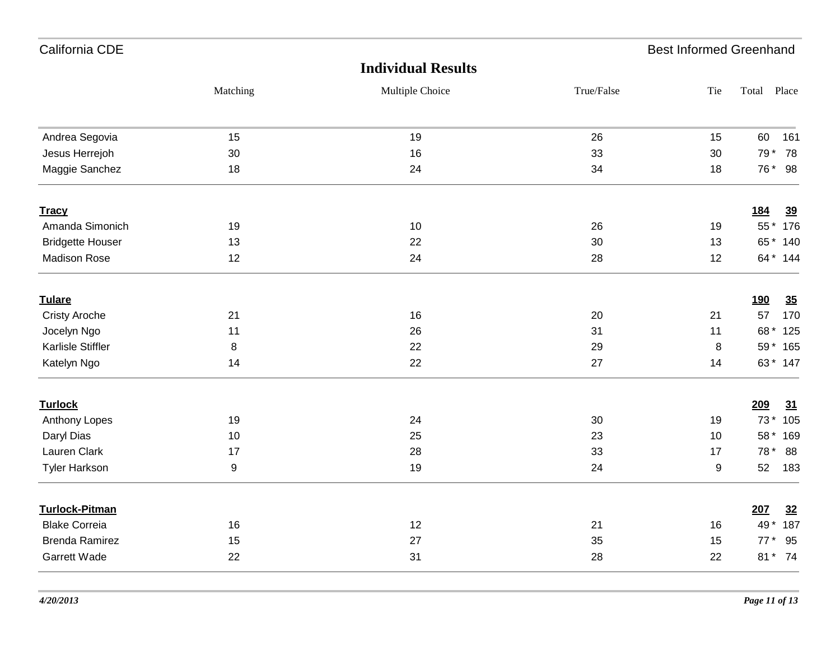| California CDE          |          |                           |            | <b>Best Informed Greenhand</b> |                         |
|-------------------------|----------|---------------------------|------------|--------------------------------|-------------------------|
|                         |          | <b>Individual Results</b> |            |                                |                         |
|                         | Matching | Multiple Choice           | True/False | Tie                            | Total Place             |
| Andrea Segovia          | 15       | 19                        | 26         | 15                             | 60<br>161               |
| Jesus Herrejoh          | 30       | 16                        | 33         | 30                             | 79 *<br>78              |
| Maggie Sanchez          | 18       | 24                        | 34         | 18                             | 76 * 98                 |
| <b>Tracy</b>            |          |                           |            |                                | <u>184</u><br><u>39</u> |
| Amanda Simonich         | 19       | 10                        | 26         | 19                             | 55 * 176                |
| <b>Bridgette Houser</b> | 13       | 22                        | 30         | 13                             | 65 * 140                |
| <b>Madison Rose</b>     | 12       | 24                        | 28         | 12                             | 64 * 144                |
| <b>Tulare</b>           |          |                           |            |                                | 190<br>35               |
| <b>Cristy Aroche</b>    | 21       | 16                        | 20         | 21                             | 170<br>57               |
| Jocelyn Ngo             | 11       | 26                        | 31         | 11                             | 68 * 125                |
| Karlisle Stiffler       | 8        | 22                        | 29         | 8                              | 59 * 165                |
| Katelyn Ngo             | 14       | 22                        | 27         | 14                             | 63 * 147                |
| <b>Turlock</b>          |          |                           |            |                                | 209<br>31               |
| Anthony Lopes           | 19       | 24                        | 30         | 19                             | 73 * 105                |
| Daryl Dias              | 10       | 25                        | 23         | 10                             | 58 * 169                |
| Lauren Clark            | 17       | 28                        | 33         | 17                             | 78 * 88                 |
| <b>Tyler Harkson</b>    | 9        | 19                        | 24         | 9                              | 52<br>183               |
| <b>Turlock-Pitman</b>   |          |                           |            |                                | 207<br>32               |
| <b>Blake Correia</b>    | 16       | 12                        | 21         | 16                             | 49*<br>187              |
| <b>Brenda Ramirez</b>   | 15       | 27                        | 35         | 15                             | $77*$<br>95             |
| Garrett Wade            | 22       | 31                        | 28         | 22                             | 81 * 74                 |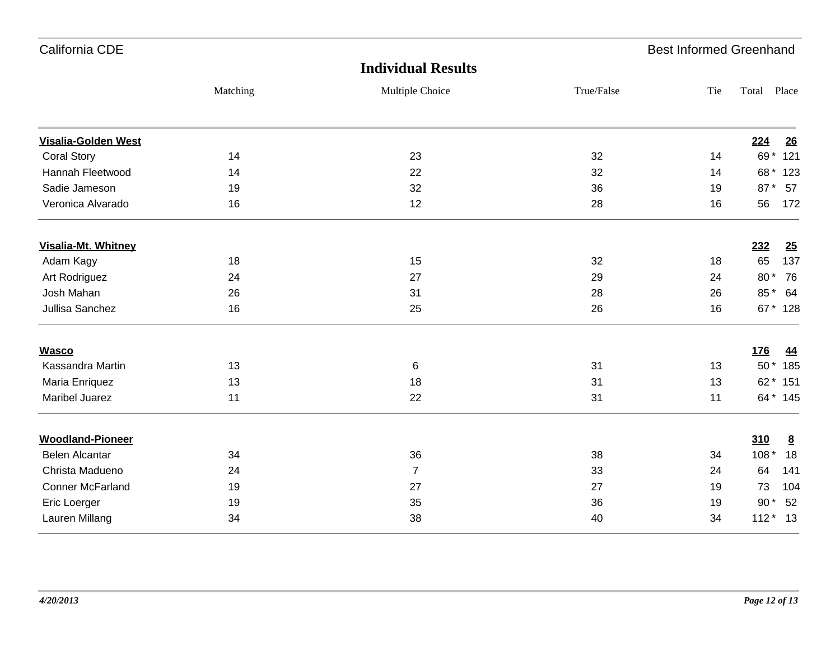| California CDE             |          |                           |            | <b>Best Informed Greenhand</b> |            |            |
|----------------------------|----------|---------------------------|------------|--------------------------------|------------|------------|
|                            |          | <b>Individual Results</b> |            |                                |            |            |
|                            | Matching | Multiple Choice           | True/False | Tie                            | Total      | Place      |
| <b>Visalia-Golden West</b> |          |                           |            |                                | 224        | 26         |
| <b>Coral Story</b>         | 14       | 23                        | 32         | 14                             |            | 69 * 121   |
| Hannah Fleetwood           | 14       | 22                        | 32         | 14                             |            | 68 * 123   |
| Sadie Jameson              | 19       | 32                        | 36         | 19                             |            | 87 * 57    |
| Veronica Alvarado          | 16       | 12                        | 28         | 16                             | 56         | 172        |
| Visalia-Mt. Whitney        |          |                           |            |                                | 232        | 25         |
| Adam Kagy                  | 18       | 15                        | 32         | 18                             | 65         | 137        |
| Art Rodriguez              | 24       | 27                        | 29         | 24                             | 80 *       | 76         |
| Josh Mahan                 | 26       | 31                        | 28         | 26                             |            | 85* 64     |
| Jullisa Sanchez            | 16       | 25                        | 26         | 16                             |            | 67 * 128   |
| <b>Wasco</b>               |          |                           |            |                                | <b>176</b> | <u>44</u>  |
| Kassandra Martin           | 13       | $\,6$                     | 31         | 13                             |            | 50 * 185   |
| Maria Enriquez             | 13       | 18                        | 31         | 13                             |            | 62 * 151   |
| Maribel Juarez             | 11       | 22                        | 31         | 11                             |            | 64 * 145   |
| <b>Woodland-Pioneer</b>    |          |                           |            |                                | 310        | 8          |
| <b>Belen Alcantar</b>      | 34       | 36                        | 38         | 34                             | $108*$     | 18         |
| Christa Madueno            | 24       | $\overline{7}$            | 33         | 24                             | 64         | 141        |
| <b>Conner McFarland</b>    | 19       | 27                        | 27         | 19                             | 73         | 104        |
| Eric Loerger               | 19       | 35                        | 36         | 19                             | $90*$      | 52         |
| Lauren Millang             | 34       | 38                        | 40         | 34                             |            | $112 * 13$ |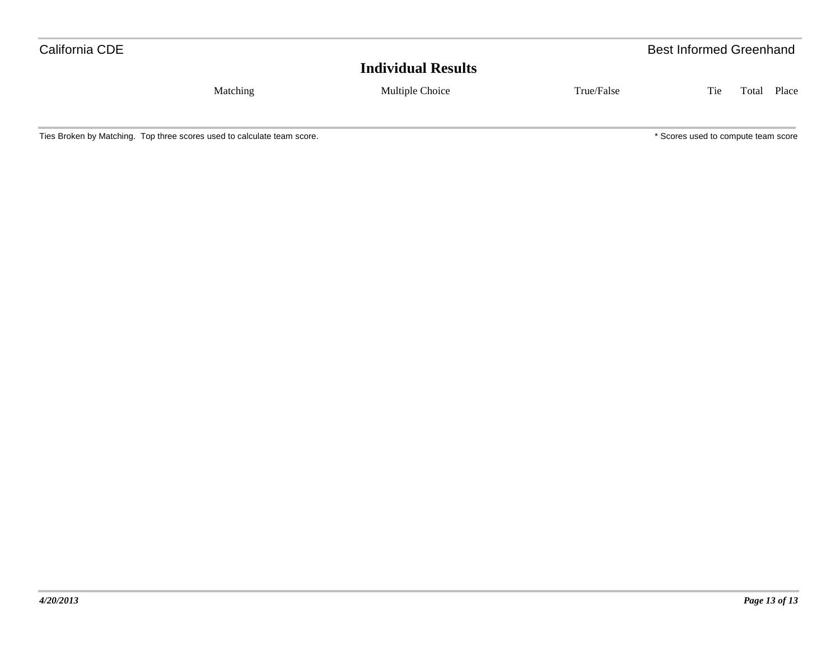| California CDE |          |                           |            | <b>Best Informed Greenhand</b> |       |  |  |  |  |
|----------------|----------|---------------------------|------------|--------------------------------|-------|--|--|--|--|
|                |          | <b>Individual Results</b> |            |                                |       |  |  |  |  |
|                | Matching | Multiple Choice           | True/False | Tie<br>Total                   | Place |  |  |  |  |
|                |          |                           |            |                                |       |  |  |  |  |

Ties Broken by Matching. Top three scores used to calculate team score. The scores used to compute team score compute team score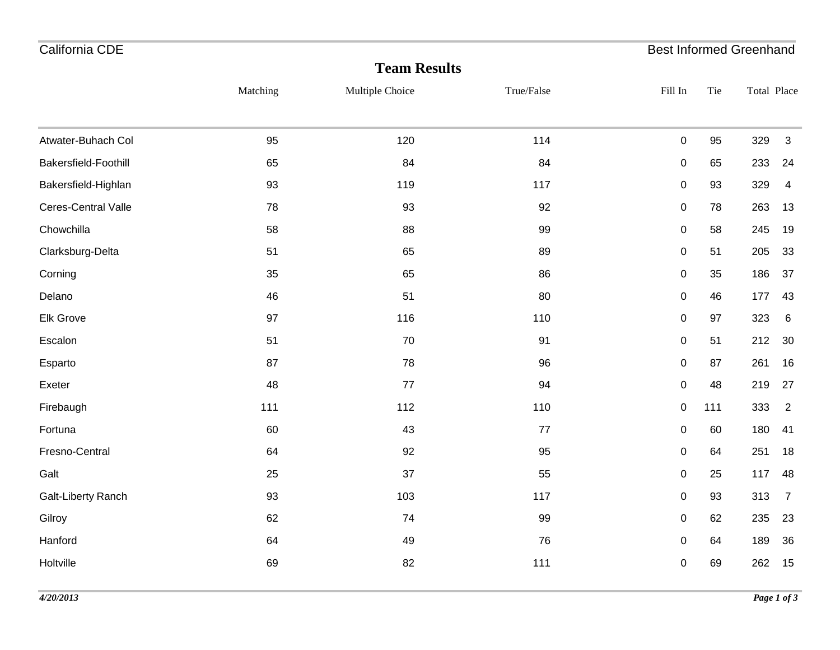| Matching | Multiple Choice | True/False | Fill In                          | Tie                    | Total Place |                                              |
|----------|-----------------|------------|----------------------------------|------------------------|-------------|----------------------------------------------|
|          |                 |            |                                  |                        |             |                                              |
|          |                 |            |                                  |                        |             | $\mathbf{3}$                                 |
|          |                 |            |                                  |                        |             | 24                                           |
| 93       | 119             | 117        | $\pmb{0}$                        | 93                     | 329         | $\overline{4}$                               |
| 78       | 93              | 92         | $\mathbf 0$                      | 78                     | 263         | 13                                           |
| 58       | 88              | 99         | $\pmb{0}$                        | 58                     | 245         | 19                                           |
| 51       | 65              | 89         | $\mathbf 0$                      | 51                     | 205         | 33                                           |
| 35       | 65              | 86         | $\pmb{0}$                        | 35                     | 186         | 37                                           |
| 46       | 51              | 80         | $\pmb{0}$                        | 46                     | 177         | 43                                           |
| 97       | 116             | 110        | $\pmb{0}$                        | 97                     | 323         | 6                                            |
| 51       | 70              | 91         | $\pmb{0}$                        | 51                     | 212         | 30                                           |
| 87       | 78              | 96         | $\pmb{0}$                        | 87                     | 261         | 16                                           |
| 48       | 77              | 94         | $\pmb{0}$                        | 48                     | 219         | 27                                           |
| 111      | 112             | 110        | $\pmb{0}$                        | 111                    | 333         | $\overline{2}$                               |
| 60       | 43              | 77         | $\pmb{0}$                        | 60                     | 180         | 41                                           |
| 64       | 92              | 95         | $\pmb{0}$                        | 64                     | 251         | 18                                           |
| 25       | 37              | 55         | $\mathbf 0$                      | 25                     | 117         | 48                                           |
| 93       | 103             | 117        | $\pmb{0}$                        | 93                     | 313         | $\overline{7}$                               |
| 62       | 74              | 99         | $\pmb{0}$                        | 62                     | 235         | 23                                           |
| 64       | 49              | 76         | $\pmb{0}$                        | 64                     | 189         | 36                                           |
| 69       | 82              | 111        | $\pmb{0}$                        | 69                     | 262         | 15                                           |
|          | 95<br>65        | 120<br>84  | <b>Team Results</b><br>114<br>84 | $\pmb{0}$<br>$\pmb{0}$ | 95<br>65    | <b>Best Informed Greenhand</b><br>329<br>233 |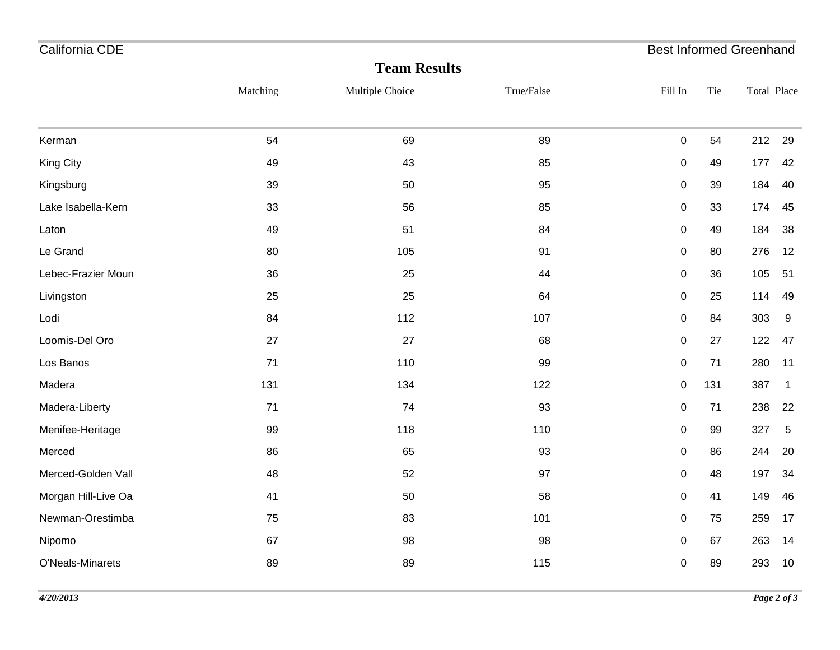| California CDE      |          |                     |            | <b>Best Informed Greenhand</b> |      |             |                |
|---------------------|----------|---------------------|------------|--------------------------------|------|-------------|----------------|
|                     |          | <b>Team Results</b> |            |                                |      |             |                |
|                     | Matching | Multiple Choice     | True/False | Fill In                        | Tie  | Total Place |                |
| Kerman              | 54       | 69                  | 89         | 0                              | 54   | 212         | 29             |
| King City           | 49       | 43                  | 85         | 0                              | 49   | 177         | 42             |
| Kingsburg           | 39       | 50                  | 95         | 0                              | 39   | 184         | 40             |
| Lake Isabella-Kern  | 33       | 56                  | 85         | 0                              | 33   | 174         | 45             |
| Laton               | 49       | 51                  | 84         | 0                              | 49   | 184         | 38             |
| Le Grand            | 80       | 105                 | 91         | $\boldsymbol{0}$               | 80   | 276         | 12             |
| Lebec-Frazier Moun  | 36       | 25                  | 44         | $\pmb{0}$                      | 36   | 105         | 51             |
| Livingston          | 25       | 25                  | 64         | $\pmb{0}$                      | 25   | 114         | 49             |
| Lodi                | 84       | 112                 | 107        | 0                              | 84   | 303         | 9              |
| Loomis-Del Oro      | 27       | 27                  | 68         | $\pmb{0}$                      | 27   | 122         | 47             |
| Los Banos           | 71       | 110                 | 99         | $\pmb{0}$                      | $71$ | 280         | 11             |
| Madera              | 131      | 134                 | 122        | $\pmb{0}$                      | 131  | 387         | $\overline{1}$ |
| Madera-Liberty      | 71       | 74                  | 93         | 0                              | 71   | 238         | 22             |
| Menifee-Heritage    | 99       | 118                 | 110        | $\boldsymbol{0}$               | 99   | 327         | 5              |
| Merced              | 86       | 65                  | 93         | 0                              | 86   | 244         | 20             |
| Merced-Golden Vall  | 48       | 52                  | 97         | $\pmb{0}$                      | 48   | 197         | 34             |
| Morgan Hill-Live Oa | 41       | 50                  | 58         | $\pmb{0}$                      | 41   | 149         | 46             |
| Newman-Orestimba    | 75       | 83                  | 101        | $\pmb{0}$                      | 75   | 259         | 17             |
| Nipomo              | 67       | 98                  | 98         | $\pmb{0}$                      | 67   | 263         | 14             |
| O'Neals-Minarets    | 89       | 89                  | 115        | 0                              | 89   | 293         | 10             |
|                     |          |                     |            |                                |      |             |                |